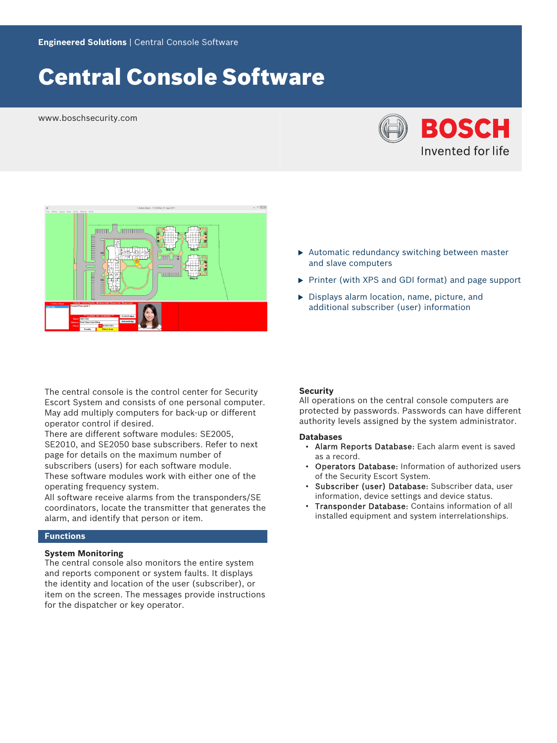# Central Console Software

www.boschsecurity.com





### $\blacktriangleright$  Automatic redundancy switching between master and slave computers

- $\triangleright$  Printer (with XPS and GDI format) and page support
- $\triangleright$  Displays alarm location, name, picture, and additional subscriber (user) information

The central console is the control center for Security Escort System and consists of one personal computer. May add multiply computers for back‑up or different operator control if desired.

There are different software modules: SE2005, SE2010, and SE2050 base subscribers. Refer to next page for details on the maximum number of subscribers (users) for each software module. These software modules work with either one of the operating frequency system.

All software receive alarms from the transponders/SE coordinators, locate the transmitter that generates the alarm, and identify that person or item.

## **Functions**

# **System Monitoring**

The central console also monitors the entire system and reports component or system faults. It displays the identity and location of the user (subscriber), or item on the screen. The messages provide instructions for the dispatcher or key operator.

#### **Security**

All operations on the central console computers are protected by passwords. Passwords can have different authority levels assigned by the system administrator.

#### **Databases**

- Alarm Reports Database: Each alarm event is saved as a record.
- Operators Database: Information of authorized users of the Security Escort System.
- Subscriber (user) Database: Subscriber data, user information, device settings and device status.
- Transponder Database: Contains information of all installed equipment and system interrelationships.